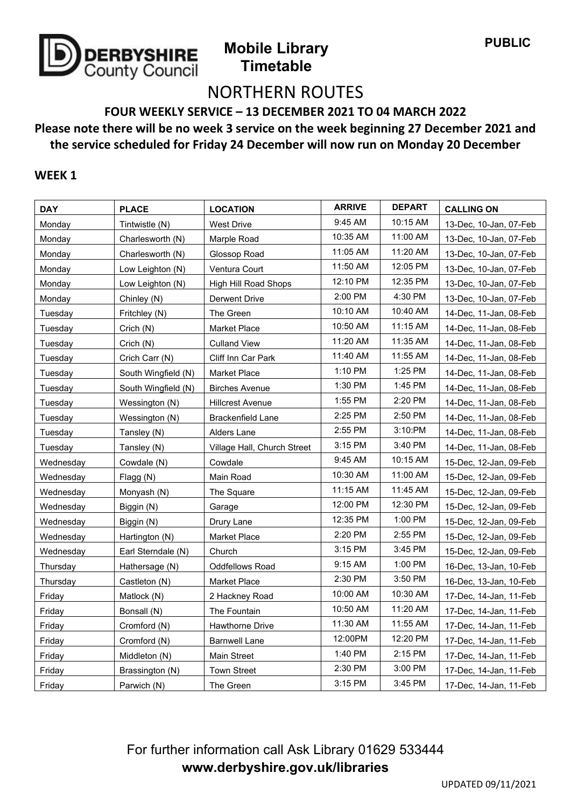

# NORTHERN ROUTES

**FOUR WEEKLY SERVICE – 13 DECEMBER 2021 TO 04 MARCH 2022**

## **Please note there will be no week 3 service on the week beginning 27 December 2021 and the service scheduled for Friday 24 December will now run on Monday 20 December**

#### **WEEK 1**

| <b>DAY</b> | <b>PLACE</b>        | <b>LOCATION</b>             | <b>ARRIVE</b> | <b>DEPART</b> | <b>CALLING ON</b>      |
|------------|---------------------|-----------------------------|---------------|---------------|------------------------|
| Monday     | Tintwistle (N)      | <b>West Drive</b>           | 9:45 AM       | 10:15 AM      | 13-Dec, 10-Jan, 07-Feb |
| Monday     | Charlesworth (N)    | Marple Road                 | 10:35 AM      | 11:00 AM      | 13-Dec, 10-Jan, 07-Feb |
| Monday     | Charlesworth (N)    | Glossop Road                | 11:05 AM      | 11:20 AM      | 13-Dec, 10-Jan, 07-Feb |
| Monday     | Low Leighton (N)    | Ventura Court               | 11:50 AM      | 12:05 PM      | 13-Dec, 10-Jan, 07-Feb |
| Monday     | Low Leighton (N)    | High Hill Road Shops        | 12:10 PM      | 12:35 PM      | 13-Dec, 10-Jan, 07-Feb |
| Monday     | Chinley (N)         | Derwent Drive               | 2:00 PM       | 4:30 PM       | 13-Dec, 10-Jan, 07-Feb |
| Tuesday    | Fritchley (N)       | The Green                   | 10:10 AM      | 10:40 AM      | 14-Dec, 11-Jan, 08-Feb |
| Tuesday    | Crich (N)           | Market Place                | 10:50 AM      | 11:15 AM      | 14-Dec, 11-Jan, 08-Feb |
| Tuesday    | Crich (N)           | <b>Culland View</b>         | 11:20 AM      | 11:35 AM      | 14-Dec, 11-Jan, 08-Feb |
| Tuesday    | Crich Carr (N)      | Cliff Inn Car Park          | 11:40 AM      | 11:55 AM      | 14-Dec, 11-Jan, 08-Feb |
| Tuesdav    | South Wingfield (N) | <b>Market Place</b>         | 1:10 PM       | 1:25 PM       | 14-Dec, 11-Jan, 08-Feb |
| Tuesday    | South Wingfield (N) | <b>Birches Avenue</b>       | 1:30 PM       | 1:45 PM       | 14-Dec, 11-Jan, 08-Feb |
| Tuesday    | Wessington (N)      | <b>Hillcrest Avenue</b>     | 1:55 PM       | 2:20 PM       | 14-Dec, 11-Jan, 08-Feb |
| Tuesday    | Wessington (N)      | <b>Brackenfield Lane</b>    | 2:25 PM       | 2:50 PM       | 14-Dec, 11-Jan, 08-Feb |
| Tuesdav    | Tansley (N)         | Alders Lane                 | 2:55 PM       | 3:10:PM       | 14-Dec, 11-Jan, 08-Feb |
| Tuesday    | Tansley (N)         | Village Hall, Church Street | 3:15 PM       | 3:40 PM       | 14-Dec, 11-Jan, 08-Feb |
| Wednesday  | Cowdale (N)         | Cowdale                     | 9:45 AM       | 10:15 AM      | 15-Dec, 12-Jan, 09-Feb |
| Wednesday  | Flagg (N)           | Main Road                   | 10:30 AM      | 11:00 AM      | 15-Dec, 12-Jan, 09-Feb |
| Wednesday  | Monyash (N)         | The Square                  | 11:15 AM      | 11:45 AM      | 15-Dec, 12-Jan, 09-Feb |
| Wednesday  | Biggin (N)          | Garage                      | 12:00 PM      | 12:30 PM      | 15-Dec, 12-Jan, 09-Feb |
| Wednesday  | Biggin (N)          | Drury Lane                  | 12:35 PM      | 1:00 PM       | 15-Dec, 12-Jan, 09-Feb |
| Wednesday  | Hartington (N)      | <b>Market Place</b>         | 2:20 PM       | 2:55 PM       | 15-Dec, 12-Jan, 09-Feb |
| Wednesday  | Earl Sterndale (N)  | Church                      | 3:15 PM       | 3:45 PM       | 15-Dec, 12-Jan, 09-Feb |
| Thursday   | Hathersage (N)      | <b>Oddfellows Road</b>      | 9:15 AM       | 1:00 PM       | 16-Dec, 13-Jan, 10-Feb |
| Thursday   | Castleton (N)       | <b>Market Place</b>         | 2:30 PM       | 3:50 PM       | 16-Dec, 13-Jan, 10-Feb |
| Friday     | Matlock (N)         | 2 Hackney Road              | 10:00 AM      | 10:30 AM      | 17-Dec, 14-Jan, 11-Feb |
| Friday     | Bonsall (N)         | The Fountain                | 10:50 AM      | 11:20 AM      | 17-Dec, 14-Jan, 11-Feb |
| Friday     | Cromford (N)        | <b>Hawthorne Drive</b>      | 11:30 AM      | 11:55 AM      | 17-Dec, 14-Jan, 11-Feb |
| Friday     | Cromford (N)        | <b>Barnwell Lane</b>        | 12:00PM       | 12:20 PM      | 17-Dec, 14-Jan, 11-Feb |
| Friday     | Middleton (N)       | <b>Main Street</b>          | 1:40 PM       | 2:15 PM       | 17-Dec, 14-Jan, 11-Feb |
| Friday     | Brassington (N)     | <b>Town Street</b>          | 2:30 PM       | 3:00 PM       | 17-Dec, 14-Jan, 11-Feb |
| Friday     | Parwich (N)         | The Green                   | 3:15 PM       | 3:45 PM       | 17-Dec, 14-Jan, 11-Feb |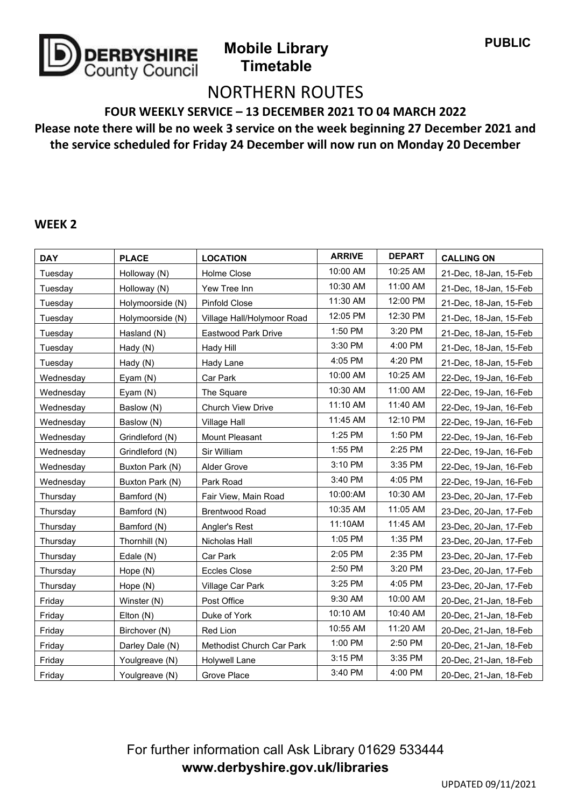

# NORTHERN ROUTES

**FOUR WEEKLY SERVICE – 13 DECEMBER 2021 TO 04 MARCH 2022**

### **Please note there will be no week 3 service on the week beginning 27 December 2021 and the service scheduled for Friday 24 December will now run on Monday 20 December**

#### **WEEK 2**

| <b>DAY</b> | <b>PLACE</b>     | <b>LOCATION</b>            | <b>ARRIVE</b> | <b>DEPART</b> | <b>CALLING ON</b>      |
|------------|------------------|----------------------------|---------------|---------------|------------------------|
| Tuesday    | Holloway (N)     | Holme Close                | 10:00 AM      | 10:25 AM      | 21-Dec, 18-Jan, 15-Feb |
| Tuesday    | Holloway (N)     | Yew Tree Inn               | 10:30 AM      | 11:00 AM      | 21-Dec, 18-Jan, 15-Feb |
| Tuesday    | Holymoorside (N) | <b>Pinfold Close</b>       | 11:30 AM      | 12:00 PM      | 21-Dec, 18-Jan, 15-Feb |
| Tuesday    | Holymoorside (N) | Village Hall/Holymoor Road | 12:05 PM      | 12:30 PM      | 21-Dec, 18-Jan, 15-Feb |
| Tuesday    | Hasland (N)      | Eastwood Park Drive        | 1:50 PM       | 3:20 PM       | 21-Dec, 18-Jan, 15-Feb |
| Tuesday    | Hady (N)         | Hady Hill                  | 3:30 PM       | 4:00 PM       | 21-Dec, 18-Jan, 15-Feb |
| Tuesday    | Hady (N)         | Hady Lane                  | 4:05 PM       | 4:20 PM       | 21-Dec, 18-Jan, 15-Feb |
| Wednesday  | Eyam $(N)$       | Car Park                   | 10:00 AM      | 10:25 AM      | 22-Dec, 19-Jan, 16-Feb |
| Wednesday  | Eyam $(N)$       | The Square                 | 10:30 AM      | 11:00 AM      | 22-Dec, 19-Jan, 16-Feb |
| Wednesday  | Baslow (N)       | <b>Church View Drive</b>   | 11:10 AM      | 11:40 AM      | 22-Dec, 19-Jan, 16-Feb |
| Wednesday  | Baslow (N)       | Village Hall               | 11:45 AM      | 12:10 PM      | 22-Dec, 19-Jan, 16-Feb |
| Wednesday  | Grindleford (N)  | Mount Pleasant             | 1:25 PM       | 1:50 PM       | 22-Dec, 19-Jan, 16-Feb |
| Wednesday  | Grindleford (N)  | Sir William                | 1:55 PM       | 2:25 PM       | 22-Dec, 19-Jan, 16-Feb |
| Wednesday  | Buxton Park (N)  | Alder Grove                | 3:10 PM       | 3:35 PM       | 22-Dec, 19-Jan, 16-Feb |
| Wednesday  | Buxton Park (N)  | Park Road                  | 3:40 PM       | 4:05 PM       | 22-Dec, 19-Jan, 16-Feb |
| Thursday   | Bamford (N)      | Fair View, Main Road       | 10:00:AM      | 10:30 AM      | 23-Dec, 20-Jan, 17-Feb |
| Thursday   | Bamford (N)      | <b>Brentwood Road</b>      | 10:35 AM      | 11:05 AM      | 23-Dec, 20-Jan, 17-Feb |
| Thursday   | Bamford (N)      | Angler's Rest              | 11:10AM       | 11:45 AM      | 23-Dec, 20-Jan, 17-Feb |
| Thursday   | Thornhill (N)    | Nicholas Hall              | 1:05 PM       | 1:35 PM       | 23-Dec, 20-Jan, 17-Feb |
| Thursday   | Edale (N)        | Car Park                   | 2:05 PM       | 2:35 PM       | 23-Dec, 20-Jan, 17-Feb |
| Thursday   | Hope (N)         | <b>Eccles Close</b>        | 2:50 PM       | 3:20 PM       | 23-Dec, 20-Jan, 17-Feb |
| Thursday   | Hope (N)         | Village Car Park           | 3:25 PM       | 4:05 PM       | 23-Dec, 20-Jan, 17-Feb |
| Friday     | Winster (N)      | Post Office                | 9:30 AM       | 10:00 AM      | 20-Dec, 21-Jan, 18-Feb |
| Friday     | Elton (N)        | Duke of York               | 10:10 AM      | 10:40 AM      | 20-Dec, 21-Jan, 18-Feb |
| Friday     | Birchover (N)    | Red Lion                   | 10:55 AM      | 11:20 AM      | 20-Dec, 21-Jan, 18-Feb |
| Friday     | Darley Dale (N)  | Methodist Church Car Park  | 1:00 PM       | 2:50 PM       | 20-Dec, 21-Jan, 18-Feb |
| Friday     | Youlgreave (N)   | Holywell Lane              | 3:15 PM       | 3:35 PM       | 20-Dec, 21-Jan, 18-Feb |
| Friday     | Youlgreave (N)   | Grove Place                | 3:40 PM       | 4:00 PM       | 20-Dec, 21-Jan, 18-Feb |

## For further information call Ask Library 01629 533444 **www.derbyshire.gov.uk/libraries**

UPDATED 09/11/2021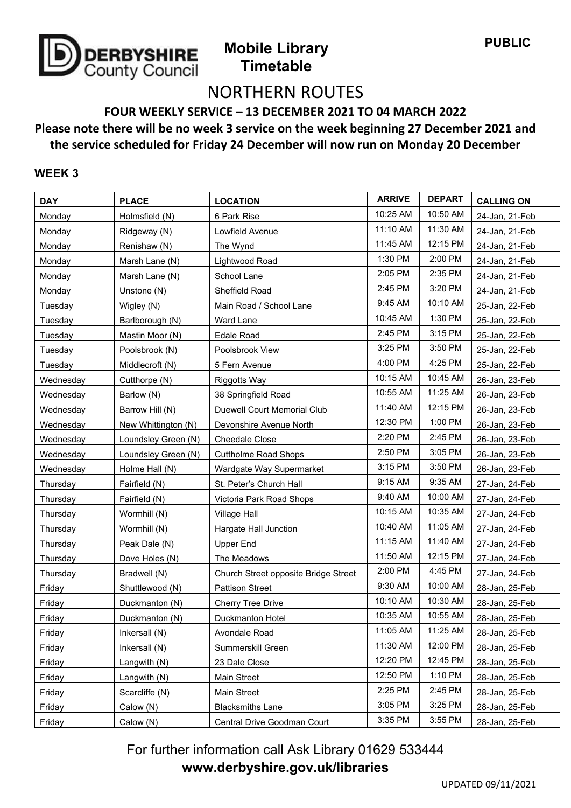

# NORTHERN ROUTES

**FOUR WEEKLY SERVICE – 13 DECEMBER 2021 TO 04 MARCH 2022**

### **Please note there will be no week 3 service on the week beginning 27 December 2021 and the service scheduled for Friday 24 December will now run on Monday 20 December**

#### **WEEK 3**

| <b>DAY</b> | <b>PLACE</b>        | <b>LOCATION</b>                      | <b>ARRIVE</b> | <b>DEPART</b> | <b>CALLING ON</b> |
|------------|---------------------|--------------------------------------|---------------|---------------|-------------------|
| Monday     | Holmsfield (N)      | 6 Park Rise                          | 10:25 AM      | 10:50 AM      | 24-Jan, 21-Feb    |
| Monday     | Ridgeway (N)        | Lowfield Avenue                      | 11:10 AM      | 11:30 AM      | 24-Jan, 21-Feb    |
| Monday     | Renishaw (N)        | The Wynd                             | 11:45 AM      | 12:15 PM      | 24-Jan, 21-Feb    |
| Monday     | Marsh Lane (N)      | Lightwood Road                       | 1:30 PM       | 2:00 PM       | 24-Jan, 21-Feb    |
| Monday     | Marsh Lane (N)      | School Lane                          | 2:05 PM       | 2:35 PM       | 24-Jan, 21-Feb    |
| Monday     | Unstone (N)         | Sheffield Road                       | 2:45 PM       | 3:20 PM       | 24-Jan, 21-Feb    |
| Tuesday    | Wigley (N)          | Main Road / School Lane              | 9:45 AM       | 10:10 AM      | 25-Jan, 22-Feb    |
| Tuesday    | Barlborough (N)     | Ward Lane                            | 10:45 AM      | 1:30 PM       | 25-Jan, 22-Feb    |
| Tuesday    | Mastin Moor (N)     | <b>Edale Road</b>                    | 2:45 PM       | 3:15 PM       | 25-Jan, 22-Feb    |
| Tuesday    | Poolsbrook (N)      | Poolsbrook View                      | 3:25 PM       | 3:50 PM       | 25-Jan, 22-Feb    |
| Tuesday    | Middlecroft (N)     | 5 Fern Avenue                        | 4:00 PM       | 4:25 PM       | 25-Jan, 22-Feb    |
| Wednesday  | Cutthorpe (N)       | <b>Riggotts Way</b>                  | 10:15 AM      | 10:45 AM      | 26-Jan, 23-Feb    |
| Wednesday  | Barlow (N)          | 38 Springfield Road                  | 10:55 AM      | 11:25 AM      | 26-Jan, 23-Feb    |
| Wednesday  | Barrow Hill (N)     | Duewell Court Memorial Club          | 11:40 AM      | 12:15 PM      | 26-Jan, 23-Feb    |
| Wednesday  | New Whittington (N) | Devonshire Avenue North              | 12:30 PM      | 1:00 PM       | 26-Jan, 23-Feb    |
| Wednesday  | Loundsley Green (N) | Cheedale Close                       | 2:20 PM       | 2:45 PM       | 26-Jan, 23-Feb    |
| Wednesday  | Loundsley Green (N) | <b>Cuttholme Road Shops</b>          | 2:50 PM       | 3:05 PM       | 26-Jan, 23-Feb    |
| Wednesday  | Holme Hall (N)      | Wardgate Way Supermarket             | 3:15 PM       | 3:50 PM       | 26-Jan, 23-Feb    |
| Thursday   | Fairfield (N)       | St. Peter's Church Hall              | 9:15 AM       | 9:35 AM       | 27-Jan, 24-Feb    |
| Thursday   | Fairfield (N)       | Victoria Park Road Shops             | 9:40 AM       | 10:00 AM      | 27-Jan, 24-Feb    |
| Thursday   | Wormhill (N)        | Village Hall                         | 10:15 AM      | 10:35 AM      | 27-Jan, 24-Feb    |
| Thursday   | Wormhill (N)        | Hargate Hall Junction                | 10:40 AM      | 11:05 AM      | 27-Jan, 24-Feb    |
| Thursday   | Peak Dale (N)       | <b>Upper End</b>                     | 11:15 AM      | 11:40 AM      | 27-Jan, 24-Feb    |
| Thursday   | Dove Holes (N)      | The Meadows                          | 11:50 AM      | 12:15 PM      | 27-Jan, 24-Feb    |
| Thursday   | Bradwell (N)        | Church Street opposite Bridge Street | 2:00 PM       | 4:45 PM       | 27-Jan, 24-Feb    |
| Friday     | Shuttlewood (N)     | <b>Pattison Street</b>               | 9:30 AM       | 10:00 AM      | 28-Jan, 25-Feb    |
| Friday     | Duckmanton (N)      | <b>Cherry Tree Drive</b>             | 10:10 AM      | 10:30 AM      | 28-Jan, 25-Feb    |
| Friday     | Duckmanton (N)      | Duckmanton Hotel                     | 10:35 AM      | 10:55 AM      | 28-Jan, 25-Feb    |
| Friday     | Inkersall $(N)$     | Avondale Road                        | 11:05 AM      | 11:25 AM      | 28-Jan, 25-Feb    |
| Friday     | Inkersall (N)       | Summerskill Green                    | 11:30 AM      | 12:00 PM      | 28-Jan, 25-Feb    |
| Friday     | Langwith (N)        | 23 Dale Close                        | 12:20 PM      | 12:45 PM      | 28-Jan, 25-Feb    |
| Friday     | Langwith (N)        | Main Street                          | 12:50 PM      | 1:10 PM       | 28-Jan, 25-Feb    |
| Friday     | Scarcliffe (N)      | Main Street                          | 2:25 PM       | 2:45 PM       | 28-Jan, 25-Feb    |
| Friday     | Calow (N)           | <b>Blacksmiths Lane</b>              | 3:05 PM       | 3:25 PM       | 28-Jan, 25-Feb    |
| Friday     | Calow (N)           | Central Drive Goodman Court          | 3:35 PM       | 3:55 PM       | 28-Jan, 25-Feb    |

For further information call Ask Library 01629 533444 **www.derbyshire.gov.uk/libraries**

UPDATED 09/11/2021